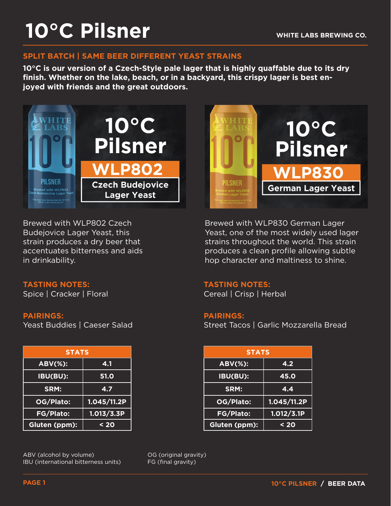# **10°C Pilsner**

#### **SPLIT BATCH | SAME BEER DIFFERENT YEAST STRAINS**

**10°C is our version of a Czech-Style pale lager that is highly quaffable due to its dry finish. Whether on the lake, beach, or in a backyard, this crispy lager is best enjoyed with friends and the great outdoors.**



Brewed with WLP802 Czech Budejovice Lager Yeast, this strain produces a dry beer that accentuates bitterness and aids in drinkability.

#### **TASTING NOTES:**

Spice | Cracker | Floral

#### **PAIRINGS:**

Yeast Buddies | Caeser Salad

| <b>STATS</b>           |             |
|------------------------|-------------|
| $\overline{ABV(\%)}$ : | 4.1         |
| <b>IBU(BU):</b>        | <b>51.0</b> |
| SRM:                   | 4.7         |
| OG/Plato:              | 1.045/11.2P |
| <b>FG/Plato:</b>       | 1.013/3.3P  |
| Gluten (ppm):          | $20$        |

ABV (alcohol by volume) IBU (international bitterness units) OG (original gravity) FG (final gravity)



Brewed with WLP830 German Lager Yeast, one of the most widely used lager strains throughout the world. This strain produces a clean profile allowing subtle hop character and maltiness to shine.

#### **TASTING NOTES:**

Cereal | Crisp | Herbal

#### **PAIRINGS:**

Street Tacos | Garlic Mozzarella Bread

| <b>STATS</b> |             |  | <b>STATS</b>   |             |
|--------------|-------------|--|----------------|-------------|
| Ŧ.           | 4.1         |  | <b>ABV(%):</b> | 4.2         |
| H            | <b>51.0</b> |  | IBU(BU):       | 45.0        |
|              | 4.7         |  | SRM:           | 4.4         |
| יכ.          | 1.045/11.2P |  | OG/Plato:      | 1.045/11.2P |
| $\mathbf{S}$ | 1.013/3.3P  |  | FG/Plato:      | 1.012/3.1P  |
| $m$ :        | $20$        |  | Gluten (ppm):  | $20$        |